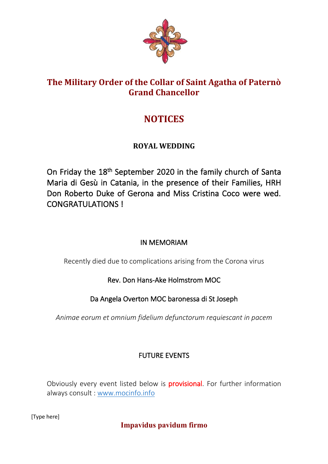

## **The Military Order of the Collar of Saint Agatha of Paternò Grand Chancellor**

# **NOTICES**

## **ROYAL WEDDING**

On Friday the 18<sup>th</sup> September 2020 in the family church of Santa Maria di Gesù in Catania, in the presence of their Families, HRH Don Roberto Duke of Gerona and Miss Cristina Coco were wed. CONGRATULATIONS I

## IN MEMORIAM

Recently died due to complications arising from the Corona virus

## Rev. Don Hans-Ake Holmstrom MOC

## Da Angela Overton MOC baronessa di St Joseph

*Animae eorum et omnium fidelium defunctorum requiescant in pacem*

## FUTURE EVENTS

Obviously every event listed below is **provisional**. For further information always consult : www.mocinfo.info

[Type here]

**Impavidus pavidum firmo**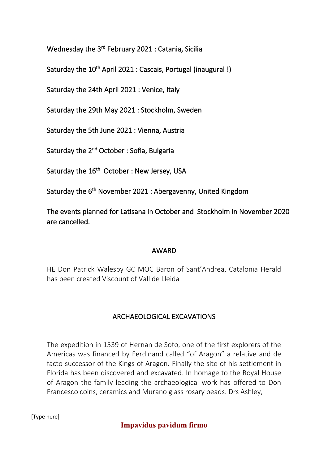Wednesday the 3<sup>rd</sup> February 2021 : Catania, Sicilia

Saturday the 10<sup>th</sup> April 2021 : Cascais, Portugal (inaugural !)

Saturday the 24th April 2021 : Venice, Italy

Saturday the 29th May 2021 : Stockholm, Sweden

Saturday the 5th June 2021 : Vienna, Austria

Saturday the 2<sup>nd</sup> October : Sofia, Bulgaria

Saturday the 16<sup>th</sup> October : New Jersey, USA

Saturday the 6th November 2021 : Abergavenny, United Kingdom

The events planned for Latisana in October and Stockholm in November 2020 are cancelled.

#### AWARD

HE Don Patrick Walesby GC MOC Baron of Sant'Andrea, Catalonia Herald has been created Viscount of Vall de Lleida

#### ARCHAEOLOGICAL EXCAVATIONS

The expedition in 1539 of Hernan de Soto, one of the first explorers of the Americas was financed by Ferdinand called "of Aragon" a relative and de facto successor of the Kings of Aragon. Finally the site of his settlement in Florida has been discovered and excavated. In homage to the Royal House of Aragon the family leading the archaeological work has offered to Don Francesco coins, ceramics and Murano glass rosary beads. Drs Ashley,

[Type here]

**Impavidus pavidum firmo**